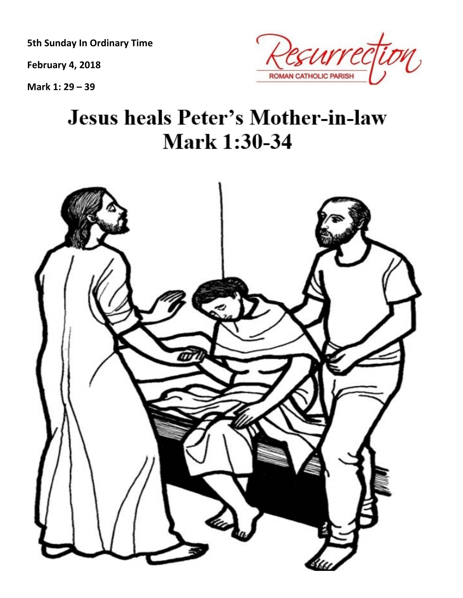**5th Sunday In Ordinary Time**

**February 4, 2018**

**Mark 1: 29 – 39**



# **Jesus heals Peter's Mother-in-law Mark 1:30-34**

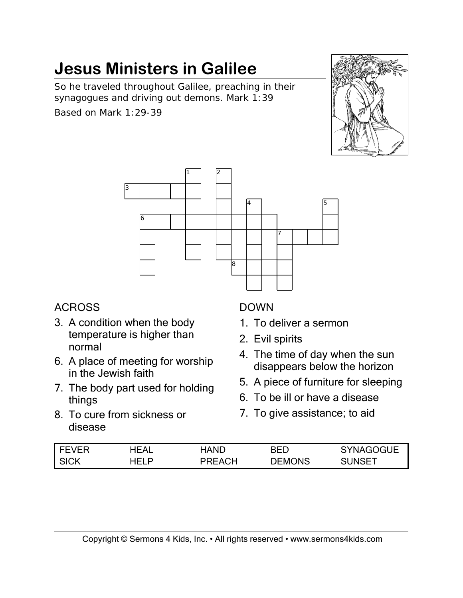So he traveled throughout Galilee, preaching in their synagogues and driving out demons. Mark 1:39 Based on Mark 1:29-39





#### ACROSS

- 3. A condition when the body temperature is higher than normal
- 6. A place of meeting for worship in the Jewish faith
- 7. The body part used for holding things
- 8. To cure from sickness or disease

#### DOWN

- 1. To deliver a sermon
- 2. Evil spirits
- 4. The time of day when the sun disappears below the horizon
- 5. A piece of furniture for sleeping
- 6. To be ill or have a disease
- 7. To give assistance; to aid

| FEVER       | 'EAL  | HAND                | RED    | SVNAGOGLIE. |
|-------------|-------|---------------------|--------|-------------|
| <b>SICK</b> | HEI D | $\mathsf{H}$<br>ᇦᄂᅀ | DEMONS | ., INSET.   |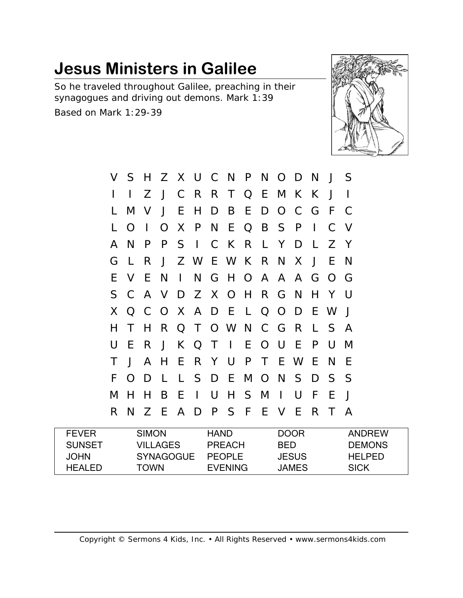So he traveled throughout Galilee, preaching in their synagogues and driving out demons. Mark 1:39 Based on Mark 1:29-39



| V  | S.           | H            |              |              |              |        | Z X U C N P N O D N       |         |       |             |              | J            | - S          |
|----|--------------|--------------|--------------|--------------|--------------|--------|---------------------------|---------|-------|-------------|--------------|--------------|--------------|
|    |              | Z            | $\mathsf{J}$ |              |              |        | C R R T Q E M K K         |         |       |             |              | $\bigcup$    |              |
| L  | M            | $\mathsf{V}$ | J            | E            | H            | D      |                           |         |       | B E D O C G |              | - F          | C            |
| L  | O            | $\perp$      |              |              | O X P        |        | N E Q B S P               |         |       |             | $\mathbf{L}$ | C V          |              |
| A  | N            | P            |              |              |              |        | P S I C K R L Y D         |         |       |             | $\mathsf{L}$ | Z Y          |              |
| G  | $\perp$      | R.           | $\mathsf{J}$ |              |              |        | Z W E W K R N X           |         |       |             | $\bigcup$    | E            | <sub>N</sub> |
| E. | V            | E.           | N            | $\mathbf{1}$ |              |        | N G H O A A A G O G       |         |       |             |              |              |              |
| S  |              |              |              |              |              |        | C A V D Z X O H R G N     |         |       |             |              | H Y          | $\mathbf{I}$ |
| X. |              |              |              |              |              |        | Q C O X A D E L Q O D E W |         |       |             |              |              | $\bigcup$    |
| H  | T            | H.           |              |              |              |        | R Q T O W N C G R         |         |       |             | $\mathbf{L}$ | <sub>S</sub> | - A          |
| U  | E            | R.           | $\mathsf{J}$ |              |              |        | K Q T I                   | E O U   |       | -E          | P            | U            | M            |
| Τ  | $\mathsf{J}$ | $\mathsf{A}$ | H            |              |              |        | E R Y U P                 |         | T E W |             | E            | N            | F            |
| F  | $\Omega$     | D            | L            |              |              |        | L S D E M O N S D S S     |         |       |             |              |              |              |
| M  | H            | H            | B            | E.           | $\mathbf{I}$ | $\cup$ |                           | H S M I |       | $\bigcup$   | -F           | E            | J            |
| R  | N            | Z            | -E           | A D          |              |        | PSFEV                     |         |       | - E         | R            | T.           | A            |
|    |              |              |              |              |              |        |                           |         |       |             |              |              |              |

| <b>FEVER</b>  | <b>SIMON</b> | <b>HAND</b>    | <b>DOOR</b>  | ANDREW        |
|---------------|--------------|----------------|--------------|---------------|
| <b>SUNSET</b> | VII LAGES.   | PRFACH         | BED.         | <b>DEMONS</b> |
| JOHN.         | SYNAGOGUE    | <b>PFOPLE</b>  | <b>JESUS</b> | HEI PED.      |
| HEAI FD       | TOWN         | <b>FVENING</b> | JAMES.       | <b>SICK</b>   |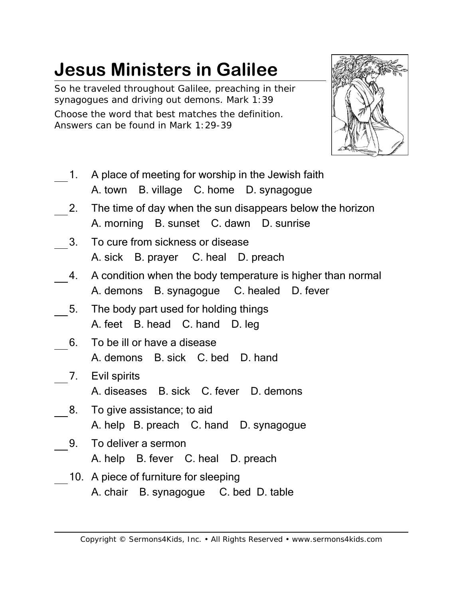So he traveled throughout Galilee, preaching in their synagogues and driving out demons. Mark 1:39 Choose the word that best matches the definition. Answers can be found in Mark 1:29-39



- 1. A place of meeting for worship in the Jewish faith A. town B. village C. home D. synagogue
- 2. The time of day when the sun disappears below the horizon A. morning B. sunset C. dawn D. sunrise
- 3. To cure from sickness or disease A. sick B. prayer C. heal D. preach
- 4. A condition when the body temperature is higher than normal A. demons B. synagogue C. healed D. fever
- 5. The body part used for holding things A. feet B. head C. hand D. leg
- 6. To be ill or have a disease A. demons B. sick C. bed D. hand
- 7. Evil spirits A. diseases B. sick C. fever D. demons
- 8. To give assistance; to aid A. help B. preach C. hand D. synagogue
- 9. To deliver a sermon A. help B. fever C. heal D. preach
- 10. A piece of furniture for sleeping A. chair B. synagogue C. bed D. table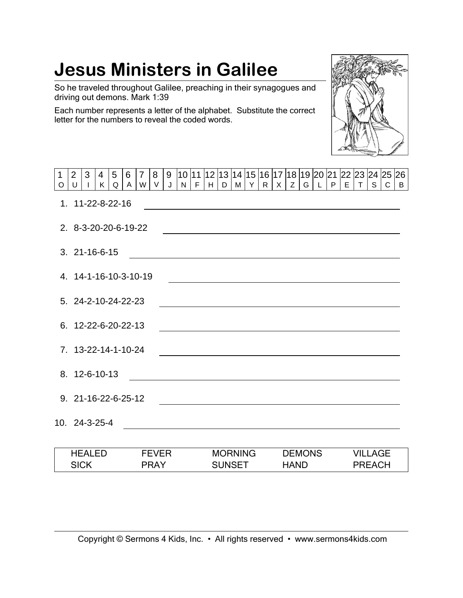So he traveled throughout Galilee, preaching in their synagogues and driving out demons. Mark 1:39

Each number represents a letter of the alphabet. Substitute the correct letter for the numbers to reveal the coded words.



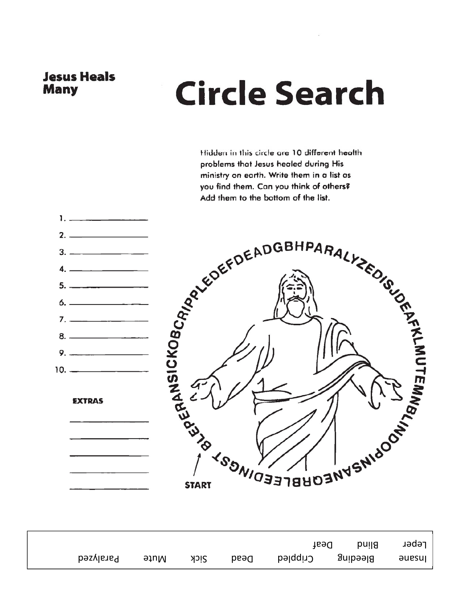#### **Jesus Heals Many**

# **Circle Search**

Hidden in this circle are 10 different health problems that Jesus healed during His ministry on earth. Write them in a list as you find them. Can you think of others? Add them to the bottom of the list.



 $1.1 - 1.1$ 

**EXTRAS** 



|           |      |      |      | Des1              | <b>Blind</b> | Leper  |
|-----------|------|------|------|-------------------|--------------|--------|
| Paralyzed | Mute | Sick | Dead | Bleeding Crippled |              | əuesul |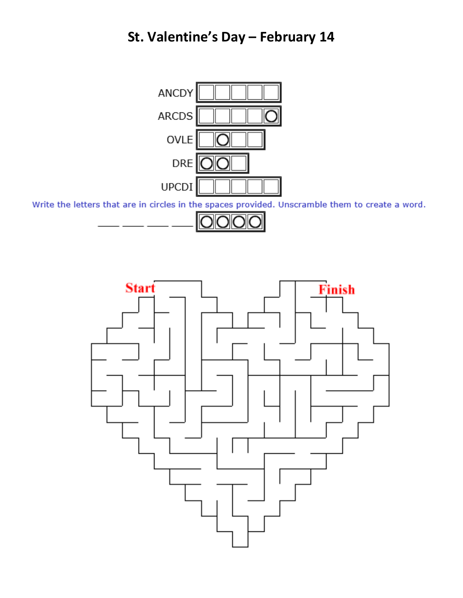### **St. Valentine's Day – February 14**